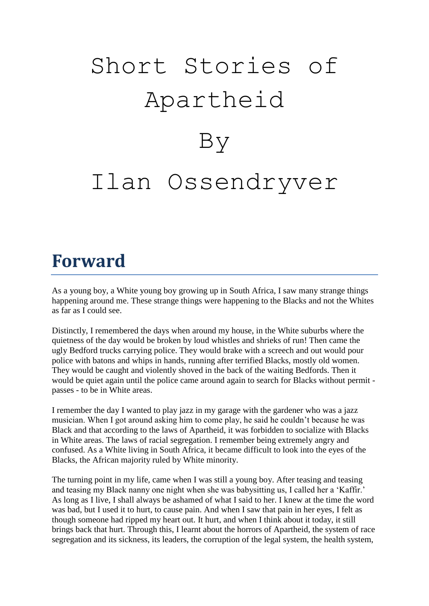# Short Stories of Apartheid By Ilan Ossendryver

### **Forward**

As a young boy, a White young boy growing up in South Africa, I saw many strange things happening around me. These strange things were happening to the Blacks and not the Whites as far as I could see.

Distinctly, I remembered the days when around my house, in the White suburbs where the quietness of the day would be broken by loud whistles and shrieks of run! Then came the ugly Bedford trucks carrying police. They would brake with a screech and out would pour police with batons and whips in hands, running after terrified Blacks, mostly old women. They would be caught and violently shoved in the back of the waiting Bedfords. Then it would be quiet again until the police came around again to search for Blacks without permit passes - to be in White areas.

I remember the day I wanted to play jazz in my garage with the gardener who was a jazz musician. When I got around asking him to come play, he said he couldn"t because he was Black and that according to the laws of Apartheid, it was forbidden to socialize with Blacks in White areas. The laws of racial segregation. I remember being extremely angry and confused. As a White living in South Africa, it became difficult to look into the eyes of the Blacks, the African majority ruled by White minority.

The turning point in my life, came when I was still a young boy. After teasing and teasing and teasing my Black nanny one night when she was babysitting us, I called her a 'Kaffir.' As long as I live, I shall always be ashamed of what I said to her. I knew at the time the word was bad, but I used it to hurt, to cause pain. And when I saw that pain in her eyes, I felt as though someone had ripped my heart out. It hurt, and when I think about it today, it still brings back that hurt. Through this, I learnt about the horrors of Apartheid, the system of race segregation and its sickness, its leaders, the corruption of the legal system, the health system,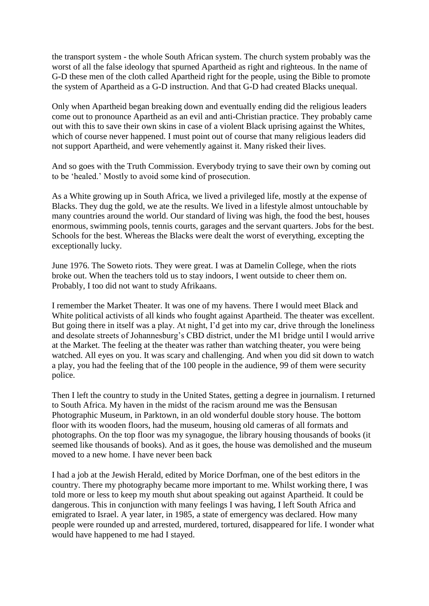the transport system - the whole South African system. The church system probably was the worst of all the false ideology that spurned Apartheid as right and righteous. In the name of G-D these men of the cloth called Apartheid right for the people, using the Bible to promote the system of Apartheid as a G-D instruction. And that G-D had created Blacks unequal.

Only when Apartheid began breaking down and eventually ending did the religious leaders come out to pronounce Apartheid as an evil and anti-Christian practice. They probably came out with this to save their own skins in case of a violent Black uprising against the Whites, which of course never happened. I must point out of course that many religious leaders did not support Apartheid, and were vehemently against it. Many risked their lives.

And so goes with the Truth Commission. Everybody trying to save their own by coming out to be "healed." Mostly to avoid some kind of prosecution.

As a White growing up in South Africa, we lived a privileged life, mostly at the expense of Blacks. They dug the gold, we ate the results. We lived in a lifestyle almost untouchable by many countries around the world. Our standard of living was high, the food the best, houses enormous, swimming pools, tennis courts, garages and the servant quarters. Jobs for the best. Schools for the best. Whereas the Blacks were dealt the worst of everything, excepting the exceptionally lucky.

June 1976. The Soweto riots. They were great. I was at Damelin College, when the riots broke out. When the teachers told us to stay indoors, I went outside to cheer them on. Probably, I too did not want to study Afrikaans.

I remember the Market Theater. It was one of my havens. There I would meet Black and White political activists of all kinds who fought against Apartheid. The theater was excellent. But going there in itself was a play. At night, I"d get into my car, drive through the loneliness and desolate streets of Johannesburg's CBD district, under the M1 bridge until I would arrive at the Market. The feeling at the theater was rather than watching theater, you were being watched. All eyes on you. It was scary and challenging. And when you did sit down to watch a play, you had the feeling that of the 100 people in the audience, 99 of them were security police.

Then I left the country to study in the United States, getting a degree in journalism. I returned to South Africa. My haven in the midst of the racism around me was the Bensusan Photographic Museum, in Parktown, in an old wonderful double story house. The bottom floor with its wooden floors, had the museum, housing old cameras of all formats and photographs. On the top floor was my synagogue, the library housing thousands of books (it seemed like thousands of books). And as it goes, the house was demolished and the museum moved to a new home. I have never been back

I had a job at the Jewish Herald, edited by Morice Dorfman, one of the best editors in the country. There my photography became more important to me. Whilst working there, I was told more or less to keep my mouth shut about speaking out against Apartheid. It could be dangerous. This in conjunction with many feelings I was having, I left South Africa and emigrated to Israel. A year later, in 1985, a state of emergency was declared. How many people were rounded up and arrested, murdered, tortured, disappeared for life. I wonder what would have happened to me had I stayed.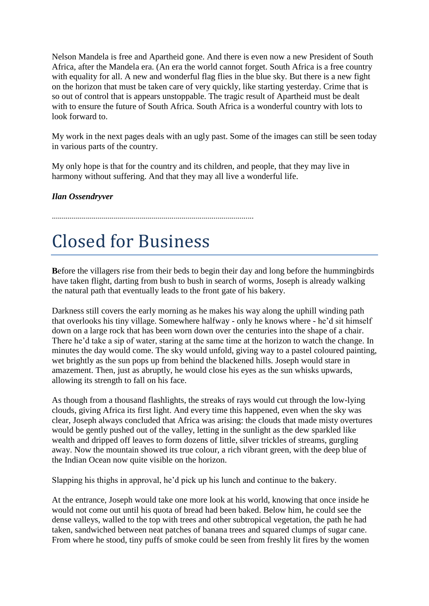Nelson Mandela is free and Apartheid gone. And there is even now a new President of South Africa, after the Mandela era. (An era the world cannot forget. South Africa is a free country with equality for all. A new and wonderful flag flies in the blue sky. But there is a new fight on the horizon that must be taken care of very quickly, like starting yesterday. Crime that is so out of control that is appears unstoppable. The tragic result of Apartheid must be dealt with to ensure the future of South Africa. South Africa is a wonderful country with lots to look forward to.

My work in the next pages deals with an ugly past. Some of the images can still be seen today in various parts of the country.

My only hope is that for the country and its children, and people, that they may live in harmony without suffering. And that they may all live a wonderful life.

*Ilan Ossendryver*

.....................................................................................................

# Closed for Business

**B**efore the villagers rise from their beds to begin their day and long before the hummingbirds have taken flight, darting from bush to bush in search of worms, Joseph is already walking the natural path that eventually leads to the front gate of his bakery.

Darkness still covers the early morning as he makes his way along the uphill winding path that overlooks his tiny village. Somewhere halfway - only he knows where - he"d sit himself down on a large rock that has been worn down over the centuries into the shape of a chair. There he'd take a sip of water, staring at the same time at the horizon to watch the change. In minutes the day would come. The sky would unfold, giving way to a pastel coloured painting, wet brightly as the sun pops up from behind the blackened hills. Joseph would stare in amazement. Then, just as abruptly, he would close his eyes as the sun whisks upwards, allowing its strength to fall on his face.

As though from a thousand flashlights, the streaks of rays would cut through the low-lying clouds, giving Africa its first light. And every time this happened, even when the sky was clear, Joseph always concluded that Africa was arising: the clouds that made misty overtures would be gently pushed out of the valley, letting in the sunlight as the dew sparkled like wealth and dripped off leaves to form dozens of little, silver trickles of streams, gurgling away. Now the mountain showed its true colour, a rich vibrant green, with the deep blue of the Indian Ocean now quite visible on the horizon.

Slapping his thighs in approval, he"d pick up his lunch and continue to the bakery.

At the entrance, Joseph would take one more look at his world, knowing that once inside he would not come out until his quota of bread had been baked. Below him, he could see the dense valleys, walled to the top with trees and other subtropical vegetation, the path he had taken, sandwiched between neat patches of banana trees and squared clumps of sugar cane. From where he stood, tiny puffs of smoke could be seen from freshly lit fires by the women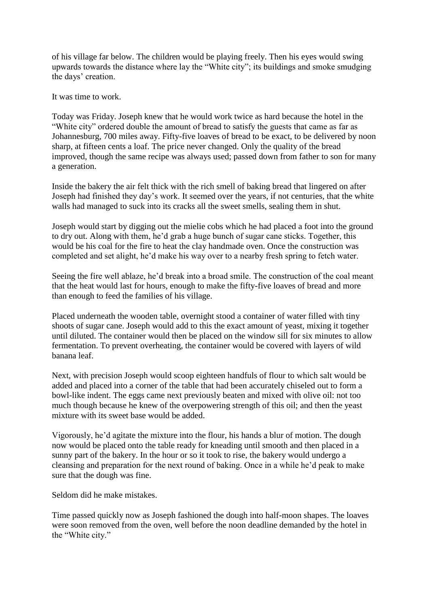of his village far below. The children would be playing freely. Then his eyes would swing upwards towards the distance where lay the "White city"; its buildings and smoke smudging the days' creation.

It was time to work.

Today was Friday. Joseph knew that he would work twice as hard because the hotel in the "White city" ordered double the amount of bread to satisfy the guests that came as far as Johannesburg, 700 miles away. Fifty-five loaves of bread to be exact, to be delivered by noon sharp, at fifteen cents a loaf. The price never changed. Only the quality of the bread improved, though the same recipe was always used; passed down from father to son for many a generation.

Inside the bakery the air felt thick with the rich smell of baking bread that lingered on after Joseph had finished they day"s work. It seemed over the years, if not centuries, that the white walls had managed to suck into its cracks all the sweet smells, sealing them in shut.

Joseph would start by digging out the mielie cobs which he had placed a foot into the ground to dry out. Along with them, he"d grab a huge bunch of sugar cane sticks. Together, this would be his coal for the fire to heat the clay handmade oven. Once the construction was completed and set alight, he"d make his way over to a nearby fresh spring to fetch water.

Seeing the fire well ablaze, he"d break into a broad smile. The construction of the coal meant that the heat would last for hours, enough to make the fifty-five loaves of bread and more than enough to feed the families of his village.

Placed underneath the wooden table, overnight stood a container of water filled with tiny shoots of sugar cane. Joseph would add to this the exact amount of yeast, mixing it together until diluted. The container would then be placed on the window sill for six minutes to allow fermentation. To prevent overheating, the container would be covered with layers of wild banana leaf.

Next, with precision Joseph would scoop eighteen handfuls of flour to which salt would be added and placed into a corner of the table that had been accurately chiseled out to form a bowl-like indent. The eggs came next previously beaten and mixed with olive oil: not too much though because he knew of the overpowering strength of this oil; and then the yeast mixture with its sweet base would be added.

Vigorously, he"d agitate the mixture into the flour, his hands a blur of motion. The dough now would be placed onto the table ready for kneading until smooth and then placed in a sunny part of the bakery. In the hour or so it took to rise, the bakery would undergo a cleansing and preparation for the next round of baking. Once in a while he"d peak to make sure that the dough was fine.

Seldom did he make mistakes.

Time passed quickly now as Joseph fashioned the dough into half-moon shapes. The loaves were soon removed from the oven, well before the noon deadline demanded by the hotel in the "White city."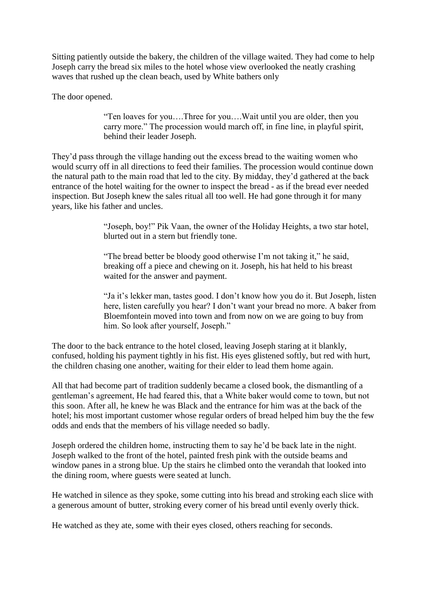Sitting patiently outside the bakery, the children of the village waited. They had come to help Joseph carry the bread six miles to the hotel whose view overlooked the neatly crashing waves that rushed up the clean beach, used by White bathers only

The door opened.

"Ten loaves for you….Three for you….Wait until you are older, then you carry more." The procession would march off, in fine line, in playful spirit, behind their leader Joseph.

They"d pass through the village handing out the excess bread to the waiting women who would scurry off in all directions to feed their families. The procession would continue down the natural path to the main road that led to the city. By midday, they"d gathered at the back entrance of the hotel waiting for the owner to inspect the bread - as if the bread ever needed inspection. But Joseph knew the sales ritual all too well. He had gone through it for many years, like his father and uncles.

> "Joseph, boy!" Pik Vaan, the owner of the Holiday Heights, a two star hotel, blurted out in a stern but friendly tone.

"The bread better be bloody good otherwise I"m not taking it," he said, breaking off a piece and chewing on it. Joseph, his hat held to his breast waited for the answer and payment.

"Ja it's lekker man, tastes good. I don't know how you do it. But Joseph, listen here, listen carefully you hear? I don't want your bread no more. A baker from Bloemfontein moved into town and from now on we are going to buy from him. So look after yourself, Joseph."

The door to the back entrance to the hotel closed, leaving Joseph staring at it blankly, confused, holding his payment tightly in his fist. His eyes glistened softly, but red with hurt, the children chasing one another, waiting for their elder to lead them home again.

All that had become part of tradition suddenly became a closed book, the dismantling of a gentleman"s agreement, He had feared this, that a White baker would come to town, but not this soon. After all, he knew he was Black and the entrance for him was at the back of the hotel; his most important customer whose regular orders of bread helped him buy the the few odds and ends that the members of his village needed so badly.

Joseph ordered the children home, instructing them to say he"d be back late in the night. Joseph walked to the front of the hotel, painted fresh pink with the outside beams and window panes in a strong blue. Up the stairs he climbed onto the verandah that looked into the dining room, where guests were seated at lunch.

He watched in silence as they spoke, some cutting into his bread and stroking each slice with a generous amount of butter, stroking every corner of his bread until evenly overly thick.

He watched as they ate, some with their eyes closed, others reaching for seconds.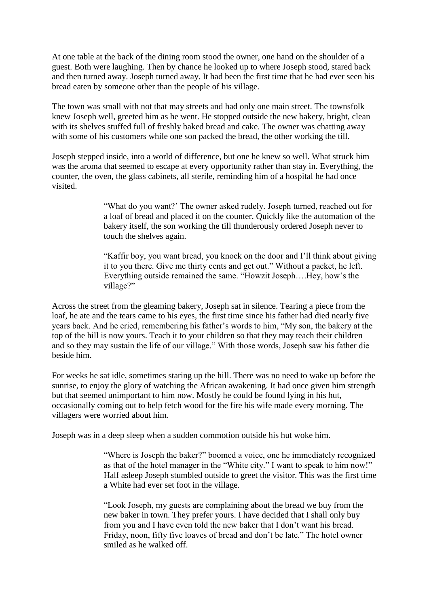At one table at the back of the dining room stood the owner, one hand on the shoulder of a guest. Both were laughing. Then by chance he looked up to where Joseph stood, stared back and then turned away. Joseph turned away. It had been the first time that he had ever seen his bread eaten by someone other than the people of his village.

The town was small with not that may streets and had only one main street. The townsfolk knew Joseph well, greeted him as he went. He stopped outside the new bakery, bright, clean with its shelves stuffed full of freshly baked bread and cake. The owner was chatting away with some of his customers while one son packed the bread, the other working the till.

Joseph stepped inside, into a world of difference, but one he knew so well. What struck him was the aroma that seemed to escape at every opportunity rather than stay in. Everything, the counter, the oven, the glass cabinets, all sterile, reminding him of a hospital he had once visited.

> "What do you want?" The owner asked rudely. Joseph turned, reached out for a loaf of bread and placed it on the counter. Quickly like the automation of the bakery itself, the son working the till thunderously ordered Joseph never to touch the shelves again.

> "Kaffir boy, you want bread, you knock on the door and I"ll think about giving it to you there. Give me thirty cents and get out." Without a packet, he left. Everything outside remained the same. "Howzit Joseph….Hey, how"s the village?"

Across the street from the gleaming bakery, Joseph sat in silence. Tearing a piece from the loaf, he ate and the tears came to his eyes, the first time since his father had died nearly five years back. And he cried, remembering his father"s words to him, "My son, the bakery at the top of the hill is now yours. Teach it to your children so that they may teach their children and so they may sustain the life of our village." With those words, Joseph saw his father die beside him.

For weeks he sat idle, sometimes staring up the hill. There was no need to wake up before the sunrise, to enjoy the glory of watching the African awakening. It had once given him strength but that seemed unimportant to him now. Mostly he could be found lying in his hut, occasionally coming out to help fetch wood for the fire his wife made every morning. The villagers were worried about him.

Joseph was in a deep sleep when a sudden commotion outside his hut woke him.

"Where is Joseph the baker?" boomed a voice, one he immediately recognized as that of the hotel manager in the "White city." I want to speak to him now!" Half asleep Joseph stumbled outside to greet the visitor. This was the first time a White had ever set foot in the village.

"Look Joseph, my guests are complaining about the bread we buy from the new baker in town. They prefer yours. I have decided that I shall only buy from you and I have even told the new baker that I don"t want his bread. Friday, noon, fifty five loaves of bread and don"t be late." The hotel owner smiled as he walked off.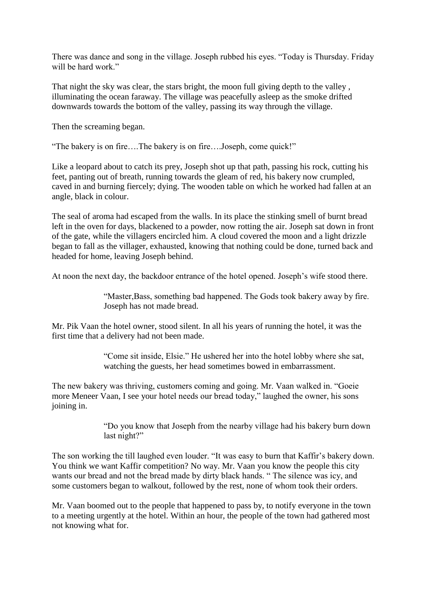There was dance and song in the village. Joseph rubbed his eyes. "Today is Thursday. Friday will be hard work."

That night the sky was clear, the stars bright, the moon full giving depth to the valley , illuminating the ocean faraway. The village was peacefully asleep as the smoke drifted downwards towards the bottom of the valley, passing its way through the village.

Then the screaming began.

"The bakery is on fire….The bakery is on fire….Joseph, come quick!"

Like a leopard about to catch its prey, Joseph shot up that path, passing his rock, cutting his feet, panting out of breath, running towards the gleam of red, his bakery now crumpled, caved in and burning fiercely; dying. The wooden table on which he worked had fallen at an angle, black in colour.

The seal of aroma had escaped from the walls. In its place the stinking smell of burnt bread left in the oven for days, blackened to a powder, now rotting the air. Joseph sat down in front of the gate, while the villagers encircled him. A cloud covered the moon and a light drizzle began to fall as the villager, exhausted, knowing that nothing could be done, turned back and headed for home, leaving Joseph behind.

At noon the next day, the backdoor entrance of the hotel opened. Joseph"s wife stood there.

"Master,Bass, something bad happened. The Gods took bakery away by fire. Joseph has not made bread.

Mr. Pik Vaan the hotel owner, stood silent. In all his years of running the hotel, it was the first time that a delivery had not been made.

> "Come sit inside, Elsie." He ushered her into the hotel lobby where she sat, watching the guests, her head sometimes bowed in embarrassment.

The new bakery was thriving, customers coming and going. Mr. Vaan walked in. "Goeie more Meneer Vaan, I see your hotel needs our bread today," laughed the owner, his sons joining in.

> "Do you know that Joseph from the nearby village had his bakery burn down last night?"

The son working the till laughed even louder. "It was easy to burn that Kaffir's bakery down. You think we want Kaffir competition? No way. Mr. Vaan you know the people this city wants our bread and not the bread made by dirty black hands. " The silence was icy, and some customers began to walkout, followed by the rest, none of whom took their orders.

Mr. Vaan boomed out to the people that happened to pass by, to notify everyone in the town to a meeting urgently at the hotel. Within an hour, the people of the town had gathered most not knowing what for.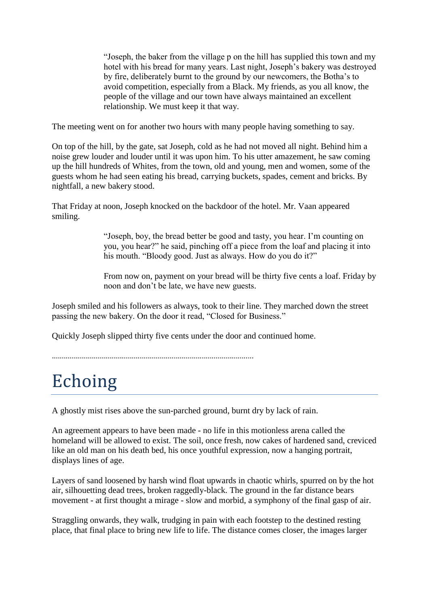"Joseph, the baker from the village p on the hill has supplied this town and my hotel with his bread for many years. Last night, Joseph"s bakery was destroyed by fire, deliberately burnt to the ground by our newcomers, the Botha"s to avoid competition, especially from a Black. My friends, as you all know, the people of the village and our town have always maintained an excellent relationship. We must keep it that way.

The meeting went on for another two hours with many people having something to say.

On top of the hill, by the gate, sat Joseph, cold as he had not moved all night. Behind him a noise grew louder and louder until it was upon him. To his utter amazement, he saw coming up the hill hundreds of Whites, from the town, old and young, men and women, some of the guests whom he had seen eating his bread, carrying buckets, spades, cement and bricks. By nightfall, a new bakery stood.

That Friday at noon, Joseph knocked on the backdoor of the hotel. Mr. Vaan appeared smiling.

> "Joseph, boy, the bread better be good and tasty, you hear. I"m counting on you, you hear?" he said, pinching off a piece from the loaf and placing it into his mouth. "Bloody good. Just as always. How do you do it?"

From now on, payment on your bread will be thirty five cents a loaf. Friday by noon and don"t be late, we have new guests.

Joseph smiled and his followers as always, took to their line. They marched down the street passing the new bakery. On the door it read, "Closed for Business."

Quickly Joseph slipped thirty five cents under the door and continued home.

.....................................................................................................

## Echoing

A ghostly mist rises above the sun-parched ground, burnt dry by lack of rain.

An agreement appears to have been made - no life in this motionless arena called the homeland will be allowed to exist. The soil, once fresh, now cakes of hardened sand, creviced like an old man on his death bed, his once youthful expression, now a hanging portrait, displays lines of age.

Layers of sand loosened by harsh wind float upwards in chaotic whirls, spurred on by the hot air, silhouetting dead trees, broken raggedly-black. The ground in the far distance bears movement - at first thought a mirage - slow and morbid, a symphony of the final gasp of air.

Straggling onwards, they walk, trudging in pain with each footstep to the destined resting place, that final place to bring new life to life. The distance comes closer, the images larger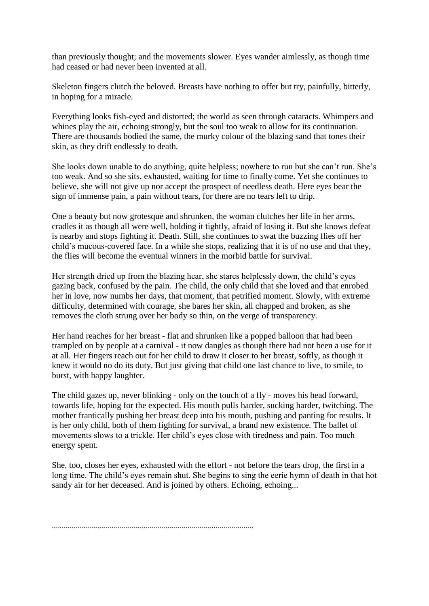than previously thought; and the movements slower. Eyes wander aimlessly, as though time had ceased or had never been invented at all.

Skeleton fingers clutch the beloved. Breasts have nothing to offer but try, painfully, bitterly, in hoping for a miracle.

Everything looks fish-eyed and distorted; the world as seen through cataracts. Whimpers and whines play the air, echoing strongly, but the soul too weak to allow for its continuation. There are thousands bodied the same, the murky colour of the blazing sand that tones their skin, as they drift endlessly to death.

She looks down unable to do anything, quite helpless; nowhere to run but she can"t run. She"s too weak. And so she sits, exhausted, waiting for time to finally come. Yet she continues to believe, she will not give up nor accept the prospect of needless death. Here eyes bear the sign of immense pain, a pain without tears, for there are no tears left to drip.

One a beauty but now grotesque and shrunken, the woman clutches her life in her arms, cradles it as though all were well, holding it tightly, afraid of losing it. But she knows defeat is nearby and stops fighting it. Death. Still, she continues to swat the buzzing flies off her child"s mucous-covered face. In a while she stops, realizing that it is of no use and that they, the flies will become the eventual winners in the morbid battle for survival.

Her strength dried up from the blazing hear, she stares helplessly down, the child"s eyes gazing back, confused by the pain. The child, the only child that she loved and that enrobed her in love, now numbs her days, that moment, that petrified moment. Slowly, with extreme difficulty, determined with courage, she bares her skin, all chapped and broken, as she removes the cloth strung over her body so thin, on the verge of transparency.

Her hand reaches for her breast - flat and shrunken like a popped balloon that had been trampled on by people at a carnival - it now dangles as though there had not been a use for it at all. Her fingers reach out for her child to draw it closer to her breast, softly, as though it knew it would no do its duty. But just giving that child one last chance to live, to smile, to burst, with happy laughter.

The child gazes up, never blinking - only on the touch of a fly - moves his head forward, towards life, hoping for the expected. His mouth pulls harder, sucking harder, twitching. The mother frantically pushing her breast deep into his mouth, pushing and panting for results. It is her only child, both of them fighting for survival, a brand new existence. The ballet of movements slows to a trickle. Her child"s eyes close with tiredness and pain. Too much energy spent.

She, too, closes her eyes, exhausted with the effort - not before the tears drop, the first in a long time. The child's eyes remain shut. She begins to sing the eerie hymn of death in that hot sandy air for her deceased. And is joined by others. Echoing, echoing...

.....................................................................................................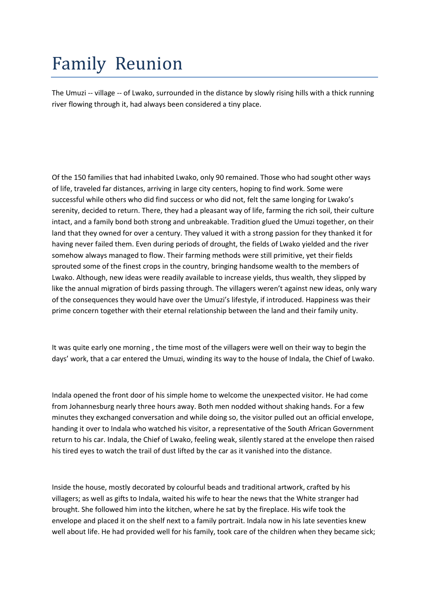# Family Reunion

The Umuzi -- village -- of Lwako, surrounded in the distance by slowly rising hills with a thick running river flowing through it, had always been considered a tiny place.

Of the 150 families that had inhabited Lwako, only 90 remained. Those who had sought other ways of life, traveled far distances, arriving in large city centers, hoping to find work. Some were successful while others who did find success or who did not, felt the same longing for Lwako's serenity, decided to return. There, they had a pleasant way of life, farming the rich soil, their culture intact, and a family bond both strong and unbreakable. Tradition glued the Umuzi together, on their land that they owned for over a century. They valued it with a strong passion for they thanked it for having never failed them. Even during periods of drought, the fields of Lwako yielded and the river somehow always managed to flow. Their farming methods were still primitive, yet their fields sprouted some of the finest crops in the country, bringing handsome wealth to the members of Lwako. Although, new ideas were readily available to increase yields, thus wealth, they slipped by like the annual migration of birds passing through. The villagers weren't against new ideas, only wary of the consequences they would have over the Umuzi's lifestyle, if introduced. Happiness was their prime concern together with their eternal relationship between the land and their family unity.

It was quite early one morning , the time most of the villagers were well on their way to begin the days' work, that a car entered the Umuzi, winding its way to the house of Indala, the Chief of Lwako.

Indala opened the front door of his simple home to welcome the unexpected visitor. He had come from Johannesburg nearly three hours away. Both men nodded without shaking hands. For a few minutes they exchanged conversation and while doing so, the visitor pulled out an official envelope, handing it over to Indala who watched his visitor, a representative of the South African Government return to his car. Indala, the Chief of Lwako, feeling weak, silently stared at the envelope then raised his tired eyes to watch the trail of dust lifted by the car as it vanished into the distance.

Inside the house, mostly decorated by colourful beads and traditional artwork, crafted by his villagers; as well as gifts to Indala, waited his wife to hear the news that the White stranger had brought. She followed him into the kitchen, where he sat by the fireplace. His wife took the envelope and placed it on the shelf next to a family portrait. Indala now in his late seventies knew well about life. He had provided well for his family, took care of the children when they became sick;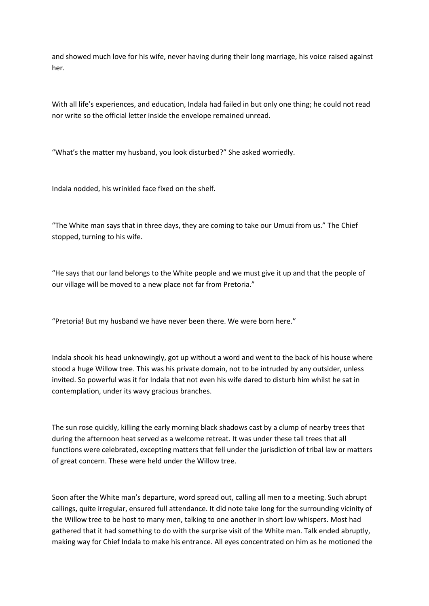and showed much love for his wife, never having during their long marriage, his voice raised against her.

With all life's experiences, and education, Indala had failed in but only one thing; he could not read nor write so the official letter inside the envelope remained unread.

"What's the matter my husband, you look disturbed?" She asked worriedly.

Indala nodded, his wrinkled face fixed on the shelf.

"The White man says that in three days, they are coming to take our Umuzi from us." The Chief stopped, turning to his wife.

"He says that our land belongs to the White people and we must give it up and that the people of our village will be moved to a new place not far from Pretoria."

"Pretoria! But my husband we have never been there. We were born here."

Indala shook his head unknowingly, got up without a word and went to the back of his house where stood a huge Willow tree. This was his private domain, not to be intruded by any outsider, unless invited. So powerful was it for Indala that not even his wife dared to disturb him whilst he sat in contemplation, under its wavy gracious branches.

The sun rose quickly, killing the early morning black shadows cast by a clump of nearby trees that during the afternoon heat served as a welcome retreat. It was under these tall trees that all functions were celebrated, excepting matters that fell under the jurisdiction of tribal law or matters of great concern. These were held under the Willow tree.

Soon after the White man's departure, word spread out, calling all men to a meeting. Such abrupt callings, quite irregular, ensured full attendance. It did note take long for the surrounding vicinity of the Willow tree to be host to many men, talking to one another in short low whispers. Most had gathered that it had something to do with the surprise visit of the White man. Talk ended abruptly, making way for Chief Indala to make his entrance. All eyes concentrated on him as he motioned the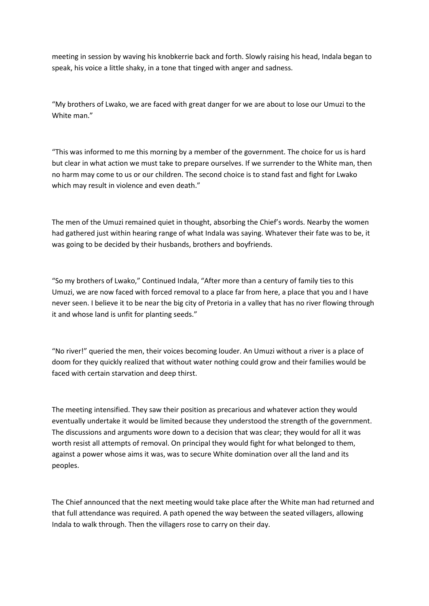meeting in session by waving his knobkerrie back and forth. Slowly raising his head, Indala began to speak, his voice a little shaky, in a tone that tinged with anger and sadness.

"My brothers of Lwako, we are faced with great danger for we are about to lose our Umuzi to the White man."

"This was informed to me this morning by a member of the government. The choice for us is hard but clear in what action we must take to prepare ourselves. If we surrender to the White man, then no harm may come to us or our children. The second choice is to stand fast and fight for Lwako which may result in violence and even death."

The men of the Umuzi remained quiet in thought, absorbing the Chief's words. Nearby the women had gathered just within hearing range of what Indala was saying. Whatever their fate was to be, it was going to be decided by their husbands, brothers and boyfriends.

"So my brothers of Lwako," Continued Indala, "After more than a century of family ties to this Umuzi, we are now faced with forced removal to a place far from here, a place that you and I have never seen. I believe it to be near the big city of Pretoria in a valley that has no river flowing through it and whose land is unfit for planting seeds."

"No river!" queried the men, their voices becoming louder. An Umuzi without a river is a place of doom for they quickly realized that without water nothing could grow and their families would be faced with certain starvation and deep thirst.

The meeting intensified. They saw their position as precarious and whatever action they would eventually undertake it would be limited because they understood the strength of the government. The discussions and arguments wore down to a decision that was clear; they would for all it was worth resist all attempts of removal. On principal they would fight for what belonged to them, against a power whose aims it was, was to secure White domination over all the land and its peoples.

The Chief announced that the next meeting would take place after the White man had returned and that full attendance was required. A path opened the way between the seated villagers, allowing Indala to walk through. Then the villagers rose to carry on their day.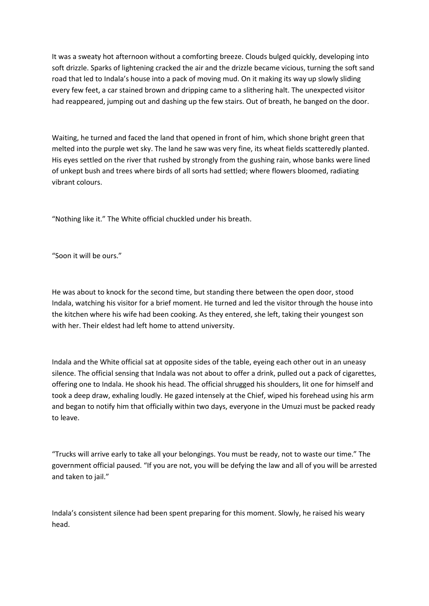It was a sweaty hot afternoon without a comforting breeze. Clouds bulged quickly, developing into soft drizzle. Sparks of lightening cracked the air and the drizzle became vicious, turning the soft sand road that led to Indala's house into a pack of moving mud. On it making its way up slowly sliding every few feet, a car stained brown and dripping came to a slithering halt. The unexpected visitor had reappeared, jumping out and dashing up the few stairs. Out of breath, he banged on the door.

Waiting, he turned and faced the land that opened in front of him, which shone bright green that melted into the purple wet sky. The land he saw was very fine, its wheat fields scatteredly planted. His eyes settled on the river that rushed by strongly from the gushing rain, whose banks were lined of unkept bush and trees where birds of all sorts had settled; where flowers bloomed, radiating vibrant colours.

"Nothing like it." The White official chuckled under his breath.

"Soon it will be ours."

He was about to knock for the second time, but standing there between the open door, stood Indala, watching his visitor for a brief moment. He turned and led the visitor through the house into the kitchen where his wife had been cooking. As they entered, she left, taking their youngest son with her. Their eldest had left home to attend university.

Indala and the White official sat at opposite sides of the table, eyeing each other out in an uneasy silence. The official sensing that Indala was not about to offer a drink, pulled out a pack of cigarettes, offering one to Indala. He shook his head. The official shrugged his shoulders, lit one for himself and took a deep draw, exhaling loudly. He gazed intensely at the Chief, wiped his forehead using his arm and began to notify him that officially within two days, everyone in the Umuzi must be packed ready to leave.

"Trucks will arrive early to take all your belongings. You must be ready, not to waste our time." The government official paused. "If you are not, you will be defying the law and all of you will be arrested and taken to jail."

Indala's consistent silence had been spent preparing for this moment. Slowly, he raised his weary head.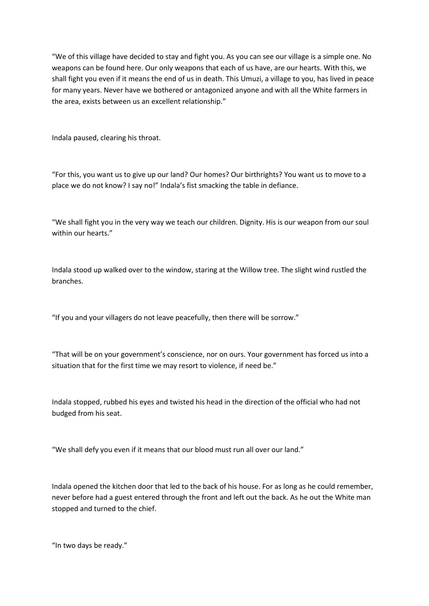"We of this village have decided to stay and fight you. As you can see our village is a simple one. No weapons can be found here. Our only weapons that each of us have, are our hearts. With this, we shall fight you even if it means the end of us in death. This Umuzi, a village to you, has lived in peace for many years. Never have we bothered or antagonized anyone and with all the White farmers in the area, exists between us an excellent relationship."

Indala paused, clearing his throat.

"For this, you want us to give up our land? Our homes? Our birthrights? You want us to move to a place we do not know? I say no!" Indala's fist smacking the table in defiance.

"We shall fight you in the very way we teach our children. Dignity. His is our weapon from our soul within our hearts."

Indala stood up walked over to the window, staring at the Willow tree. The slight wind rustled the branches.

"If you and your villagers do not leave peacefully, then there will be sorrow."

"That will be on your government's conscience, nor on ours. Your government has forced us into a situation that for the first time we may resort to violence, if need be."

Indala stopped, rubbed his eyes and twisted his head in the direction of the official who had not budged from his seat.

"We shall defy you even if it means that our blood must run all over our land."

Indala opened the kitchen door that led to the back of his house. For as long as he could remember, never before had a guest entered through the front and left out the back. As he out the White man stopped and turned to the chief.

"In two days be ready."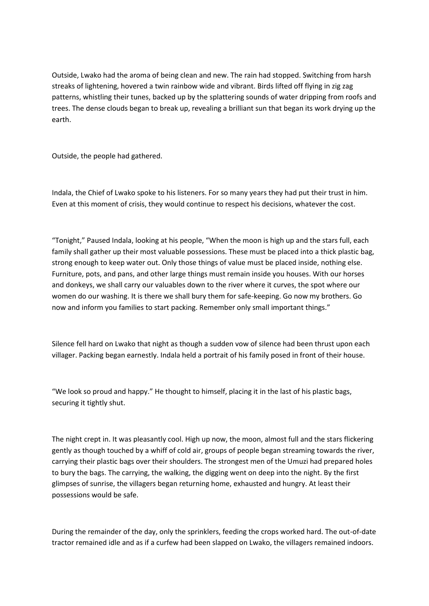Outside, Lwako had the aroma of being clean and new. The rain had stopped. Switching from harsh streaks of lightening, hovered a twin rainbow wide and vibrant. Birds lifted off flying in zig zag patterns, whistling their tunes, backed up by the splattering sounds of water dripping from roofs and trees. The dense clouds began to break up, revealing a brilliant sun that began its work drying up the earth.

Outside, the people had gathered.

Indala, the Chief of Lwako spoke to his listeners. For so many years they had put their trust in him. Even at this moment of crisis, they would continue to respect his decisions, whatever the cost.

"Tonight," Paused Indala, looking at his people, "When the moon is high up and the stars full, each family shall gather up their most valuable possessions. These must be placed into a thick plastic bag, strong enough to keep water out. Only those things of value must be placed inside, nothing else. Furniture, pots, and pans, and other large things must remain inside you houses. With our horses and donkeys, we shall carry our valuables down to the river where it curves, the spot where our women do our washing. It is there we shall bury them for safe-keeping. Go now my brothers. Go now and inform you families to start packing. Remember only small important things."

Silence fell hard on Lwako that night as though a sudden vow of silence had been thrust upon each villager. Packing began earnestly. Indala held a portrait of his family posed in front of their house.

"We look so proud and happy." He thought to himself, placing it in the last of his plastic bags, securing it tightly shut.

The night crept in. It was pleasantly cool. High up now, the moon, almost full and the stars flickering gently as though touched by a whiff of cold air, groups of people began streaming towards the river, carrying their plastic bags over their shoulders. The strongest men of the Umuzi had prepared holes to bury the bags. The carrying, the walking, the digging went on deep into the night. By the first glimpses of sunrise, the villagers began returning home, exhausted and hungry. At least their possessions would be safe.

During the remainder of the day, only the sprinklers, feeding the crops worked hard. The out-of-date tractor remained idle and as if a curfew had been slapped on Lwako, the villagers remained indoors.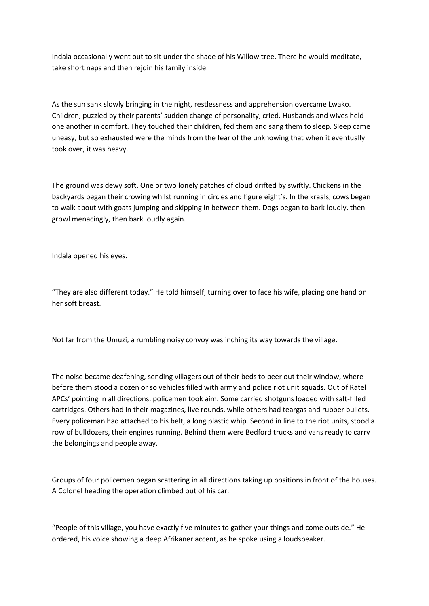Indala occasionally went out to sit under the shade of his Willow tree. There he would meditate, take short naps and then rejoin his family inside.

As the sun sank slowly bringing in the night, restlessness and apprehension overcame Lwako. Children, puzzled by their parents' sudden change of personality, cried. Husbands and wives held one another in comfort. They touched their children, fed them and sang them to sleep. Sleep came uneasy, but so exhausted were the minds from the fear of the unknowing that when it eventually took over, it was heavy.

The ground was dewy soft. One or two lonely patches of cloud drifted by swiftly. Chickens in the backyards began their crowing whilst running in circles and figure eight's. In the kraals, cows began to walk about with goats jumping and skipping in between them. Dogs began to bark loudly, then growl menacingly, then bark loudly again.

Indala opened his eyes.

"They are also different today." He told himself, turning over to face his wife, placing one hand on her soft breast.

Not far from the Umuzi, a rumbling noisy convoy was inching its way towards the village.

The noise became deafening, sending villagers out of their beds to peer out their window, where before them stood a dozen or so vehicles filled with army and police riot unit squads. Out of Ratel APCs' pointing in all directions, policemen took aim. Some carried shotguns loaded with salt-filled cartridges. Others had in their magazines, live rounds, while others had teargas and rubber bullets. Every policeman had attached to his belt, a long plastic whip. Second in line to the riot units, stood a row of bulldozers, their engines running. Behind them were Bedford trucks and vans ready to carry the belongings and people away.

Groups of four policemen began scattering in all directions taking up positions in front of the houses. A Colonel heading the operation climbed out of his car.

"People of this village, you have exactly five minutes to gather your things and come outside." He ordered, his voice showing a deep Afrikaner accent, as he spoke using a loudspeaker.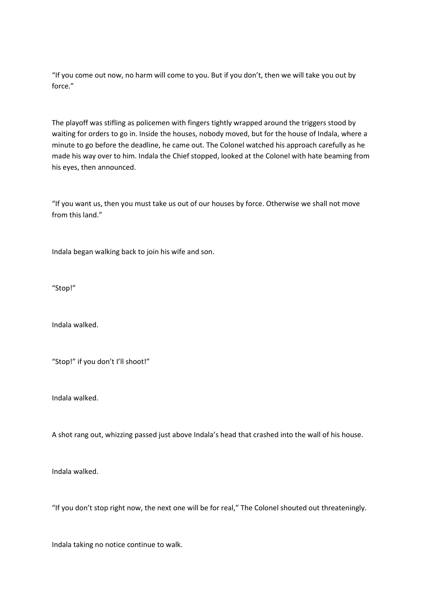"If you come out now, no harm will come to you. But if you don't, then we will take you out by force."

The playoff was stifling as policemen with fingers tightly wrapped around the triggers stood by waiting for orders to go in. Inside the houses, nobody moved, but for the house of Indala, where a minute to go before the deadline, he came out. The Colonel watched his approach carefully as he made his way over to him. Indala the Chief stopped, looked at the Colonel with hate beaming from his eyes, then announced.

"If you want us, then you must take us out of our houses by force. Otherwise we shall not move from this land."

Indala began walking back to join his wife and son.

"Stop!"

Indala walked.

"Stop!" if you don't I'll shoot!"

Indala walked.

A shot rang out, whizzing passed just above Indala's head that crashed into the wall of his house.

Indala walked.

"If you don't stop right now, the next one will be for real," The Colonel shouted out threateningly.

Indala taking no notice continue to walk.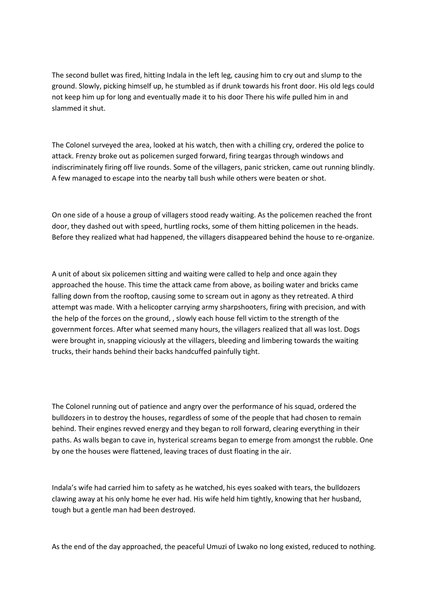The second bullet was fired, hitting Indala in the left leg, causing him to cry out and slump to the ground. Slowly, picking himself up, he stumbled as if drunk towards his front door. His old legs could not keep him up for long and eventually made it to his door There his wife pulled him in and slammed it shut.

The Colonel surveyed the area, looked at his watch, then with a chilling cry, ordered the police to attack. Frenzy broke out as policemen surged forward, firing teargas through windows and indiscriminately firing off live rounds. Some of the villagers, panic stricken, came out running blindly. A few managed to escape into the nearby tall bush while others were beaten or shot.

On one side of a house a group of villagers stood ready waiting. As the policemen reached the front door, they dashed out with speed, hurtling rocks, some of them hitting policemen in the heads. Before they realized what had happened, the villagers disappeared behind the house to re-organize.

A unit of about six policemen sitting and waiting were called to help and once again they approached the house. This time the attack came from above, as boiling water and bricks came falling down from the rooftop, causing some to scream out in agony as they retreated. A third attempt was made. With a helicopter carrying army sharpshooters, firing with precision, and with the help of the forces on the ground, , slowly each house fell victim to the strength of the government forces. After what seemed many hours, the villagers realized that all was lost. Dogs were brought in, snapping viciously at the villagers, bleeding and limbering towards the waiting trucks, their hands behind their backs handcuffed painfully tight.

The Colonel running out of patience and angry over the performance of his squad, ordered the bulldozers in to destroy the houses, regardless of some of the people that had chosen to remain behind. Their engines revved energy and they began to roll forward, clearing everything in their paths. As walls began to cave in, hysterical screams began to emerge from amongst the rubble. One by one the houses were flattened, leaving traces of dust floating in the air.

Indala's wife had carried him to safety as he watched, his eyes soaked with tears, the bulldozers clawing away at his only home he ever had. His wife held him tightly, knowing that her husband, tough but a gentle man had been destroyed.

As the end of the day approached, the peaceful Umuzi of Lwako no long existed, reduced to nothing.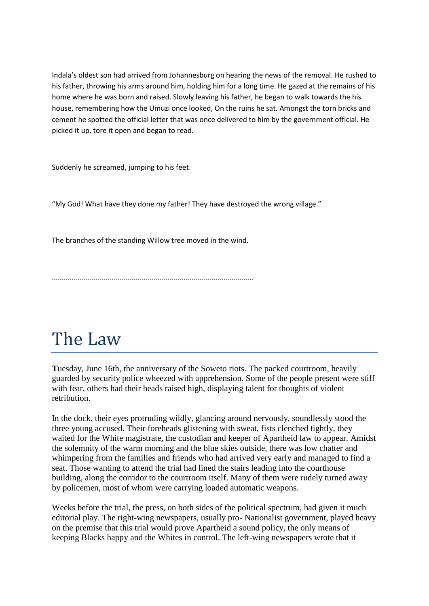Indala's oldest son had arrived from Johannesburg on hearing the news of the removal. He rushed to his father, throwing his arms around him, holding him for a long time. He gazed at the remains of his home where he was born and raised. Slowly leaving his father, he began to walk towards the his house, remembering how the Umuzi once looked, On the ruins he sat. Amongst the torn bricks and cement he spotted the official letter that was once delivered to him by the government official. He picked it up, tore it open and began to read.

Suddenly he screamed, jumping to his feet.

"My God! What have they done my father! They have destroyed the wrong village."

The branches of the standing Willow tree moved in the wind.

.....................................................................................................

# The Law

**T**uesday, June 16th, the anniversary of the Soweto riots. The packed courtroom, heavily guarded by security police wheezed with apprehension. Some of the people present were stiff with fear, others had their heads raised high, displaying talent for thoughts of violent retribution.

In the dock, their eyes protruding wildly, glancing around nervously, soundlessly stood the three young accused. Their foreheads glistening with sweat, fists clenched tightly, they waited for the White magistrate, the custodian and keeper of Apartheid law to appear. Amidst the solemnity of the warm morning and the blue skies outside, there was low chatter and whimpering from the families and friends who had arrived very early and managed to find a seat. Those wanting to attend the trial had lined the stairs leading into the courthouse building, along the corridor to the courtroom itself. Many of them were rudely turned away by policemen, most of whom were carrying loaded automatic weapons.

Weeks before the trial, the press, on both sides of the political spectrum, had given it much editorial play. The right-wing newspapers, usually pro- Nationalist government, played heavy on the premise that this trial would prove Apartheid a sound policy, the only means of keeping Blacks happy and the Whites in control. The left-wing newspapers wrote that it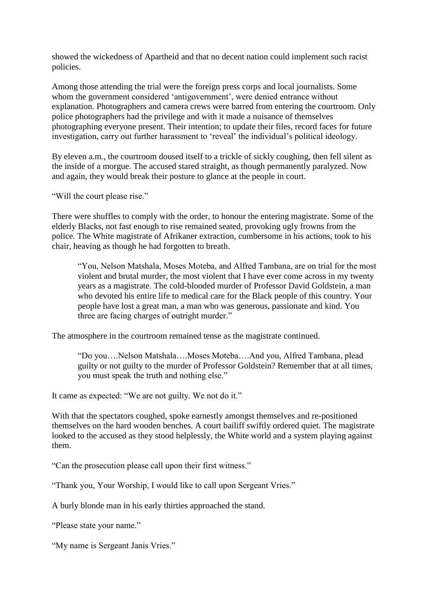showed the wickedness of Apartheid and that no decent nation could implement such racist policies.

Among those attending the trial were the foreign press corps and local journalists. Some whom the government considered "antigovernment", were denied entrance without explanation. Photographers and camera crews were barred from entering the courtroom. Only police photographers had the privilege and with it made a nuisance of themselves photographing everyone present. Their intention; to update their files, record faces for future investigation, carry out further harassment to "reveal" the individual"s political ideology.

By eleven a.m., the courtroom doused itself to a trickle of sickly coughing, then fell silent as the inside of a morgue. The accused stared straight, as though permanently paralyzed. Now and again, they would break their posture to glance at the people in court.

"Will the court please rise."

There were shuffles to comply with the order, to honour the entering magistrate. Some of the elderly Blacks, not fast enough to rise remained seated, provoking ugly frowns from the police. The White magistrate of Afrikaner extraction, cumbersome in his actions, took to his chair, heaving as though he had forgotten to breath.

"You, Nelson Matshala, Moses Moteba, and Alfred Tambana, are on trial for the most violent and brutal murder, the most violent that I have ever come across in my twenty years as a magistrate. The cold-blooded murder of Professor David Goldstein, a man who devoted his entire life to medical care for the Black people of this country. Your people have lost a great man, a man who was generous, passionate and kind. You three are facing charges of outright murder."

The atmosphere in the courtroom remained tense as the magistrate continued.

"Do you….Nelson Matshala….Moses Moteba….And you, Alfred Tambana, plead guilty or not guilty to the murder of Professor Goldstein? Remember that at all times, you must speak the truth and nothing else."

It came as expected: "We are not guilty. We not do it."

With that the spectators coughed, spoke earnestly amongst themselves and re-positioned themselves on the hard wooden benches. A court bailiff swiftly ordered quiet. The magistrate looked to the accused as they stood helplessly, the White world and a system playing against them.

"Can the prosecution please call upon their first witness."

"Thank you, Your Worship, I would like to call upon Sergeant Vries."

A burly blonde man in his early thirties approached the stand.

"Please state your name."

"My name is Sergeant Janis Vries."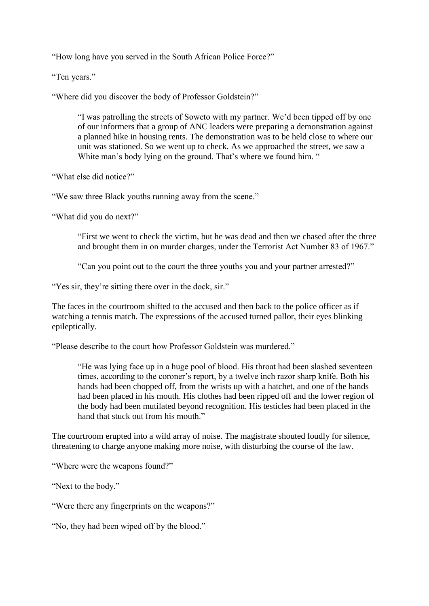"How long have you served in the South African Police Force?"

"Ten years."

"Where did you discover the body of Professor Goldstein?"

"I was patrolling the streets of Soweto with my partner. We"d been tipped off by one of our informers that a group of ANC leaders were preparing a demonstration against a planned hike in housing rents. The demonstration was to be held close to where our unit was stationed. So we went up to check. As we approached the street, we saw a White man's body lying on the ground. That's where we found him. "

"What else did notice?"

"We saw three Black youths running away from the scene."

"What did you do next?"

"First we went to check the victim, but he was dead and then we chased after the three and brought them in on murder charges, under the Terrorist Act Number 83 of 1967."

"Can you point out to the court the three youths you and your partner arrested?"

"Yes sir, they're sitting there over in the dock, sir."

The faces in the courtroom shifted to the accused and then back to the police officer as if watching a tennis match. The expressions of the accused turned pallor, their eyes blinking epileptically.

"Please describe to the court how Professor Goldstein was murdered."

"He was lying face up in a huge pool of blood. His throat had been slashed seventeen times, according to the coroner"s report, by a twelve inch razor sharp knife. Both his hands had been chopped off, from the wrists up with a hatchet, and one of the hands had been placed in his mouth. His clothes had been ripped off and the lower region of the body had been mutilated beyond recognition. His testicles had been placed in the hand that stuck out from his mouth."

The courtroom erupted into a wild array of noise. The magistrate shouted loudly for silence, threatening to charge anyone making more noise, with disturbing the course of the law.

"Where were the weapons found?"

"Next to the body."

"Were there any fingerprints on the weapons?"

"No, they had been wiped off by the blood."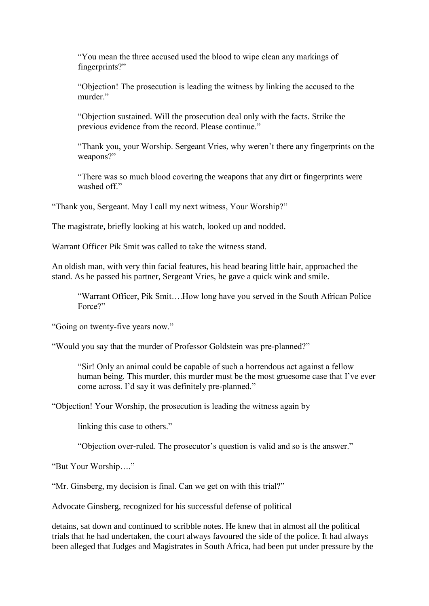"You mean the three accused used the blood to wipe clean any markings of fingerprints?"

"Objection! The prosecution is leading the witness by linking the accused to the murder<sup>"</sup>

"Objection sustained. Will the prosecution deal only with the facts. Strike the previous evidence from the record. Please continue."

"Thank you, your Worship. Sergeant Vries, why weren"t there any fingerprints on the weapons?"

"There was so much blood covering the weapons that any dirt or fingerprints were washed off"

"Thank you, Sergeant. May I call my next witness, Your Worship?"

The magistrate, briefly looking at his watch, looked up and nodded.

Warrant Officer Pik Smit was called to take the witness stand.

An oldish man, with very thin facial features, his head bearing little hair, approached the stand. As he passed his partner, Sergeant Vries, he gave a quick wink and smile.

"Warrant Officer, Pik Smit….How long have you served in the South African Police Force?"

"Going on twenty-five years now."

"Would you say that the murder of Professor Goldstein was pre-planned?"

"Sir! Only an animal could be capable of such a horrendous act against a fellow human being. This murder, this murder must be the most gruesome case that I"ve ever come across. I"d say it was definitely pre-planned."

"Objection! Your Worship, the prosecution is leading the witness again by

linking this case to others."

"Objection over-ruled. The prosecutor's question is valid and so is the answer."

"But Your Worship…."

"Mr. Ginsberg, my decision is final. Can we get on with this trial?"

Advocate Ginsberg, recognized for his successful defense of political

detains, sat down and continued to scribble notes. He knew that in almost all the political trials that he had undertaken, the court always favoured the side of the police. It had always been alleged that Judges and Magistrates in South Africa, had been put under pressure by the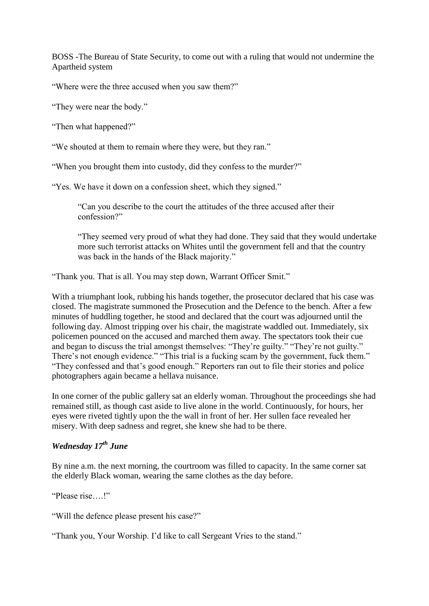BOSS -The Bureau of State Security, to come out with a ruling that would not undermine the Apartheid system

"Where were the three accused when you saw them?"

"They were near the body."

"Then what happened?"

"We shouted at them to remain where they were, but they ran."

"When you brought them into custody, did they confess to the murder?"

"Yes. We have it down on a confession sheet, which they signed."

"Can you describe to the court the attitudes of the three accused after their confession?"

"They seemed very proud of what they had done. They said that they would undertake more such terrorist attacks on Whites until the government fell and that the country was back in the hands of the Black majority."

"Thank you. That is all. You may step down, Warrant Officer Smit."

With a triumphant look, rubbing his hands together, the prosecutor declared that his case was closed. The magistrate summoned the Prosecution and the Defence to the bench. After a few minutes of huddling together, he stood and declared that the court was adjourned until the following day. Almost tripping over his chair, the magistrate waddled out. Immediately, six policemen pounced on the accused and marched them away. The spectators took their cue and began to discuss the trial amongst themselves: "They"re guilty." "They"re not guilty." There's not enough evidence." "This trial is a fucking scam by the government, fuck them." "They confessed and that"s good enough." Reporters ran out to file their stories and police photographers again became a hellava nuisance.

In one corner of the public gallery sat an elderly woman. Throughout the proceedings she had remained still, as though cast aside to live alone in the world. Continuously, for hours, her eyes were riveted tightly upon the the wall in front of her. Her sullen face revealed her misery. With deep sadness and regret, she knew she had to be there.

### *Wednesday 17th June*

By nine a.m. the next morning, the courtroom was filled to capacity. In the same corner sat the elderly Black woman, wearing the same clothes as the day before.

"Please rise !"

"Will the defence please present his case?"

"Thank you, Your Worship. I"d like to call Sergeant Vries to the stand."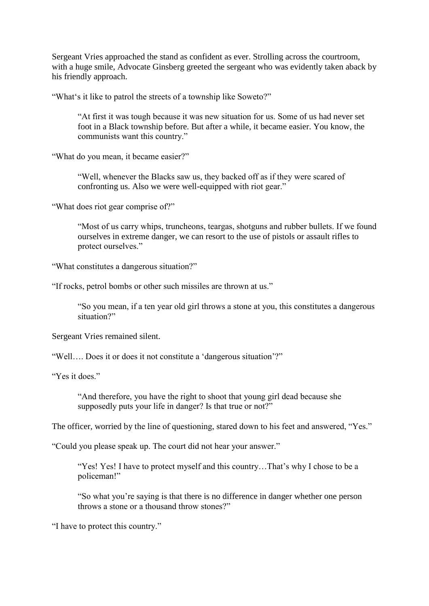Sergeant Vries approached the stand as confident as ever. Strolling across the courtroom, with a huge smile, Advocate Ginsberg greeted the sergeant who was evidently taken aback by his friendly approach.

"What"s it like to patrol the streets of a township like Soweto?"

"At first it was tough because it was new situation for us. Some of us had never set foot in a Black township before. But after a while, it became easier. You know, the communists want this country."

"What do you mean, it became easier?"

"Well, whenever the Blacks saw us, they backed off as if they were scared of confronting us. Also we were well-equipped with riot gear."

"What does riot gear comprise of?"

"Most of us carry whips, truncheons, teargas, shotguns and rubber bullets. If we found ourselves in extreme danger, we can resort to the use of pistols or assault rifles to protect ourselves."

"What constitutes a dangerous situation?"

"If rocks, petrol bombs or other such missiles are thrown at us."

"So you mean, if a ten year old girl throws a stone at you, this constitutes a dangerous situation?"

Sergeant Vries remained silent.

"Well.... Does it or does it not constitute a 'dangerous situation'?"

"Yes it does"

"And therefore, you have the right to shoot that young girl dead because she supposedly puts your life in danger? Is that true or not?"

The officer, worried by the line of questioning, stared down to his feet and answered, "Yes."

"Could you please speak up. The court did not hear your answer."

"Yes! Yes! I have to protect myself and this country...That's why I chose to be a policeman!"

"So what you"re saying is that there is no difference in danger whether one person throws a stone or a thousand throw stones?"

"I have to protect this country."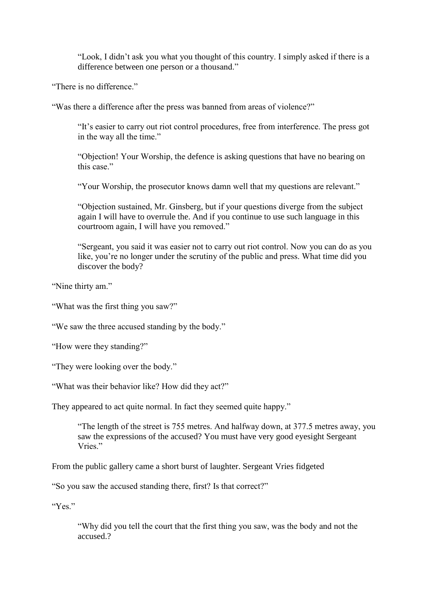"Look, I didn"t ask you what you thought of this country. I simply asked if there is a difference between one person or a thousand."

"There is no difference."

"Was there a difference after the press was banned from areas of violence?"

"It"s easier to carry out riot control procedures, free from interference. The press got in the way all the time."

"Objection! Your Worship, the defence is asking questions that have no bearing on this case."

"Your Worship, the prosecutor knows damn well that my questions are relevant."

"Objection sustained, Mr. Ginsberg, but if your questions diverge from the subject again I will have to overrule the. And if you continue to use such language in this courtroom again, I will have you removed."

"Sergeant, you said it was easier not to carry out riot control. Now you can do as you like, you're no longer under the scrutiny of the public and press. What time did you discover the body?

"Nine thirty am."

"What was the first thing you saw?"

"We saw the three accused standing by the body."

"How were they standing?"

"They were looking over the body."

"What was their behavior like? How did they act?"

They appeared to act quite normal. In fact they seemed quite happy."

"The length of the street is 755 metres. And halfway down, at 377.5 metres away, you saw the expressions of the accused? You must have very good eyesight Sergeant Vries<sup>"</sup>

From the public gallery came a short burst of laughter. Sergeant Vries fidgeted

"So you saw the accused standing there, first? Is that correct?"

"Yes."

"Why did you tell the court that the first thing you saw, was the body and not the accused.?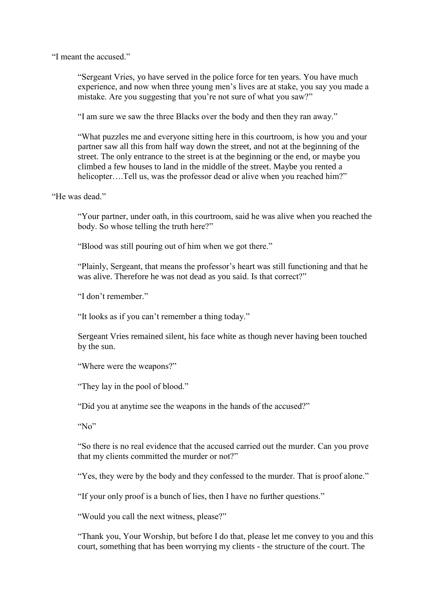"I meant the accused."

"Sergeant Vries, yo have served in the police force for ten years. You have much experience, and now when three young men"s lives are at stake, you say you made a mistake. Are you suggesting that you're not sure of what you saw?"

"I am sure we saw the three Blacks over the body and then they ran away."

"What puzzles me and everyone sitting here in this courtroom, is how you and your partner saw all this from half way down the street, and not at the beginning of the street. The only entrance to the street is at the beginning or the end, or maybe you climbed a few houses to land in the middle of the street. Maybe you rented a helicopter....Tell us, was the professor dead or alive when you reached him?"

"He was dead."

"Your partner, under oath, in this courtroom, said he was alive when you reached the body. So whose telling the truth here?"

"Blood was still pouring out of him when we got there."

"Plainly, Sergeant, that means the professor"s heart was still functioning and that he was alive. Therefore he was not dead as you said. Is that correct?"

"I don't remember."

"It looks as if you can"t remember a thing today."

Sergeant Vries remained silent, his face white as though never having been touched by the sun.

"Where were the weapons?"

"They lay in the pool of blood."

"Did you at anytime see the weapons in the hands of the accused?"

"No"

"So there is no real evidence that the accused carried out the murder. Can you prove that my clients committed the murder or not?"

"Yes, they were by the body and they confessed to the murder. That is proof alone."

"If your only proof is a bunch of lies, then I have no further questions."

"Would you call the next witness, please?"

"Thank you, Your Worship, but before I do that, please let me convey to you and this court, something that has been worrying my clients - the structure of the court. The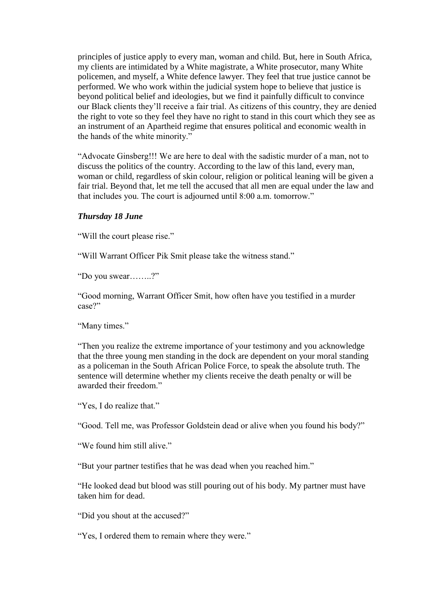principles of justice apply to every man, woman and child. But, here in South Africa, my clients are intimidated by a White magistrate, a White prosecutor, many White policemen, and myself, a White defence lawyer. They feel that true justice cannot be performed. We who work within the judicial system hope to believe that justice is beyond political belief and ideologies, but we find it painfully difficult to convince our Black clients they"ll receive a fair trial. As citizens of this country, they are denied the right to vote so they feel they have no right to stand in this court which they see as an instrument of an Apartheid regime that ensures political and economic wealth in the hands of the white minority."

"Advocate Ginsberg!!! We are here to deal with the sadistic murder of a man, not to discuss the politics of the country. According to the law of this land, every man, woman or child, regardless of skin colour, religion or political leaning will be given a fair trial. Beyond that, let me tell the accused that all men are equal under the law and that includes you. The court is adjourned until 8:00 a.m. tomorrow."

#### *Thursday 18 June*

"Will the court please rise."

"Will Warrant Officer Pik Smit please take the witness stand."

"Do you swear……..?"

"Good morning, Warrant Officer Smit, how often have you testified in a murder case?"

"Many times."

"Then you realize the extreme importance of your testimony and you acknowledge that the three young men standing in the dock are dependent on your moral standing as a policeman in the South African Police Force, to speak the absolute truth. The sentence will determine whether my clients receive the death penalty or will be awarded their freedom"

"Yes, I do realize that."

"Good. Tell me, was Professor Goldstein dead or alive when you found his body?"

"We found him still alive."

"But your partner testifies that he was dead when you reached him."

"He looked dead but blood was still pouring out of his body. My partner must have taken him for dead.

"Did you shout at the accused?"

"Yes, I ordered them to remain where they were."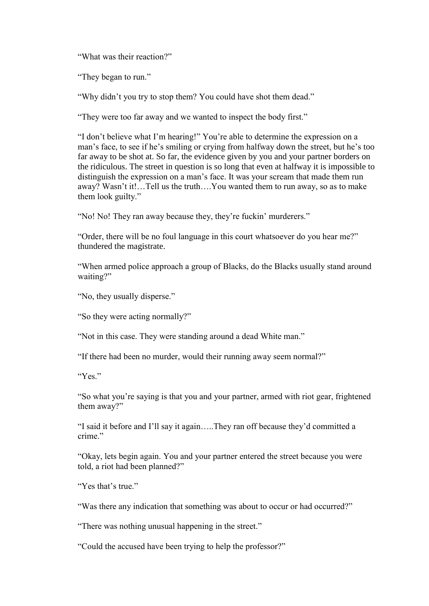"What was their reaction?"

"They began to run."

"Why didn"t you try to stop them? You could have shot them dead."

"They were too far away and we wanted to inspect the body first."

"I don"t believe what I"m hearing!" You"re able to determine the expression on a man's face, to see if he's smiling or crying from halfway down the street, but he's too far away to be shot at. So far, the evidence given by you and your partner borders on the ridiculous. The street in question is so long that even at halfway it is impossible to distinguish the expression on a man"s face. It was your scream that made them run away? Wasn"t it!…Tell us the truth….You wanted them to run away, so as to make them look guilty."

"No! No! They ran away because they, they're fuckin' murderers."

"Order, there will be no foul language in this court whatsoever do you hear me?" thundered the magistrate.

"When armed police approach a group of Blacks, do the Blacks usually stand around waiting?"

"No, they usually disperse."

"So they were acting normally?"

"Not in this case. They were standing around a dead White man."

"If there had been no murder, would their running away seem normal?"

"Yes."

"So what you"re saying is that you and your partner, armed with riot gear, frightened them away?"

"I said it before and I"ll say it again…..They ran off because they"d committed a crime."

"Okay, lets begin again. You and your partner entered the street because you were told, a riot had been planned?"

"Yes that's true."

"Was there any indication that something was about to occur or had occurred?"

"There was nothing unusual happening in the street."

"Could the accused have been trying to help the professor?"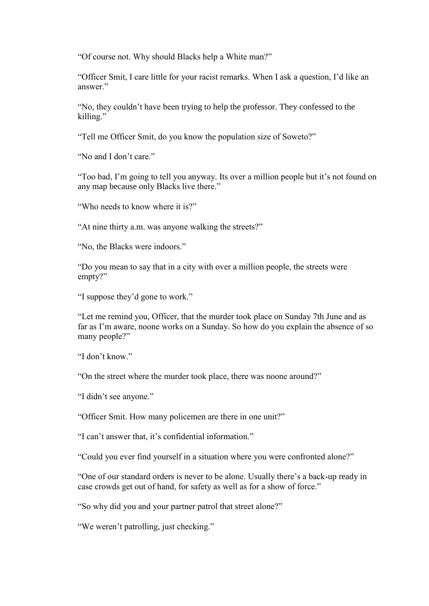"Of course not. Why should Blacks help a White man?"

"Officer Smit, I care little for your racist remarks. When I ask a question, I"d like an answer."

"No, they couldn"t have been trying to help the professor. They confessed to the killing."

"Tell me Officer Smit, do you know the population size of Soweto?"

"No and I don't care."

"Too bad, I'm going to tell you anyway. Its over a million people but it's not found on any map because only Blacks live there."

"Who needs to know where it is?"

"At nine thirty a.m. was anyone walking the streets?"

"No, the Blacks were indoors."

"Do you mean to say that in a city with over a million people, the streets were empty?"

"I suppose they"d gone to work."

"Let me remind you, Officer, that the murder took place on Sunday 7th June and as far as I"m aware, noone works on a Sunday. So how do you explain the absence of so many people?"

"I don"t know."

"On the street where the murder took place, there was noone around?"

"I didn"t see anyone."

"Officer Smit. How many policemen are there in one unit?"

"I can"t answer that, it"s confidential information."

"Could you ever find yourself in a situation where you were confronted alone?"

"One of our standard orders is never to be alone. Usually there"s a back-up ready in case crowds get out of hand, for safety as well as for a show of force."

"So why did you and your partner patrol that street alone?"

"We weren"t patrolling, just checking."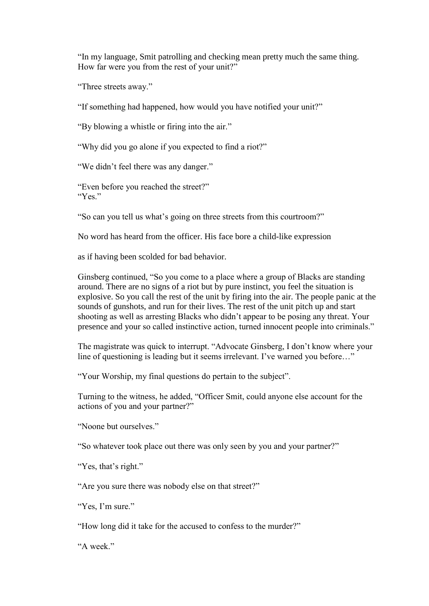"In my language, Smit patrolling and checking mean pretty much the same thing. How far were you from the rest of your unit?"

"Three streets away."

"If something had happened, how would you have notified your unit?"

"By blowing a whistle or firing into the air."

"Why did you go alone if you expected to find a riot?"

"We didn"t feel there was any danger."

"Even before you reached the street?" "Yes"

"So can you tell us what"s going on three streets from this courtroom?"

No word has heard from the officer. His face bore a child-like expression

as if having been scolded for bad behavior.

Ginsberg continued, "So you come to a place where a group of Blacks are standing around. There are no signs of a riot but by pure instinct, you feel the situation is explosive. So you call the rest of the unit by firing into the air. The people panic at the sounds of gunshots, and run for their lives. The rest of the unit pitch up and start shooting as well as arresting Blacks who didn"t appear to be posing any threat. Your presence and your so called instinctive action, turned innocent people into criminals."

The magistrate was quick to interrupt. "Advocate Ginsberg, I don"t know where your line of questioning is leading but it seems irrelevant. I've warned you before..."

"Your Worship, my final questions do pertain to the subject".

Turning to the witness, he added, "Officer Smit, could anyone else account for the actions of you and your partner?"

"Noone but ourselves."

"So whatever took place out there was only seen by you and your partner?"

"Yes, that's right."

"Are you sure there was nobody else on that street?"

"Yes, I'm sure."

"How long did it take for the accused to confess to the murder?"

"A week"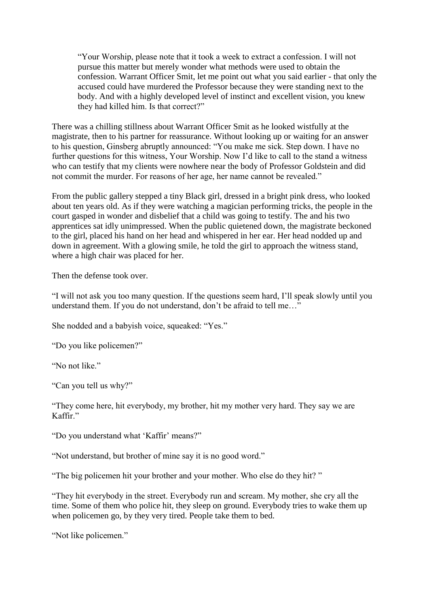"Your Worship, please note that it took a week to extract a confession. I will not pursue this matter but merely wonder what methods were used to obtain the confession. Warrant Officer Smit, let me point out what you said earlier - that only the accused could have murdered the Professor because they were standing next to the body. And with a highly developed level of instinct and excellent vision, you knew they had killed him. Is that correct?"

There was a chilling stillness about Warrant Officer Smit as he looked wistfully at the magistrate, then to his partner for reassurance. Without looking up or waiting for an answer to his question, Ginsberg abruptly announced: "You make me sick. Step down. I have no further questions for this witness, Your Worship. Now I"d like to call to the stand a witness who can testify that my clients were nowhere near the body of Professor Goldstein and did not commit the murder. For reasons of her age, her name cannot be revealed."

From the public gallery stepped a tiny Black girl, dressed in a bright pink dress, who looked about ten years old. As if they were watching a magician performing tricks, the people in the court gasped in wonder and disbelief that a child was going to testify. The and his two apprentices sat idly unimpressed. When the public quietened down, the magistrate beckoned to the girl, placed his hand on her head and whispered in her ear. Her head nodded up and down in agreement. With a glowing smile, he told the girl to approach the witness stand, where a high chair was placed for her.

Then the defense took over.

"I will not ask you too many question. If the questions seem hard, I"ll speak slowly until you understand them. If you do not understand, don't be afraid to tell me..."

She nodded and a babyish voice, squeaked: "Yes."

"Do you like policemen?"

"No not like."

"Can you tell us why?"

"They come here, hit everybody, my brother, hit my mother very hard. They say we are Kaffir<sup>"</sup>

"Do you understand what 'Kaffir' means?"

"Not understand, but brother of mine say it is no good word."

"The big policemen hit your brother and your mother. Who else do they hit? "

"They hit everybody in the street. Everybody run and scream. My mother, she cry all the time. Some of them who police hit, they sleep on ground. Everybody tries to wake them up when policemen go, by they very tired. People take them to bed.

"Not like policemen."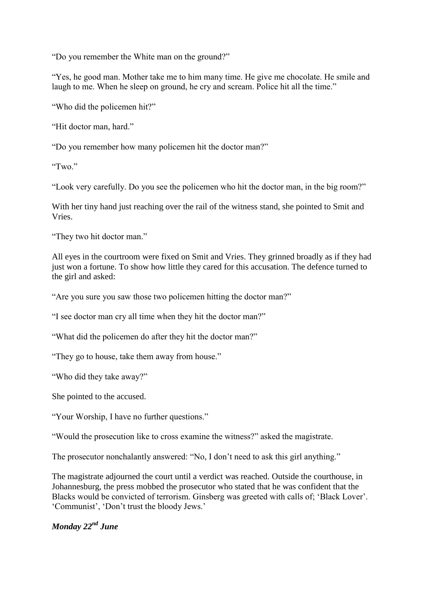"Do you remember the White man on the ground?"

"Yes, he good man. Mother take me to him many time. He give me chocolate. He smile and laugh to me. When he sleep on ground, he cry and scream. Police hit all the time."

"Who did the policemen hit?"

"Hit doctor man, hard."

"Do you remember how many policemen hit the doctor man?"

"Two."

"Look very carefully. Do you see the policemen who hit the doctor man, in the big room?"

With her tiny hand just reaching over the rail of the witness stand, she pointed to Smit and Vries.

"They two hit doctor man."

All eyes in the courtroom were fixed on Smit and Vries. They grinned broadly as if they had just won a fortune. To show how little they cared for this accusation. The defence turned to the girl and asked:

"Are you sure you saw those two policemen hitting the doctor man?"

"I see doctor man cry all time when they hit the doctor man?"

"What did the policemen do after they hit the doctor man?"

"They go to house, take them away from house."

"Who did they take away?"

She pointed to the accused.

"Your Worship, I have no further questions."

"Would the prosecution like to cross examine the witness?" asked the magistrate.

The prosecutor nonchalantly answered: "No, I don"t need to ask this girl anything."

The magistrate adjourned the court until a verdict was reached. Outside the courthouse, in Johannesburg, the press mobbed the prosecutor who stated that he was confident that the Blacks would be convicted of terrorism. Ginsberg was greeted with calls of: 'Black Lover'. "Communist", "Don"t trust the bloody Jews."

### *Monday 22nd June*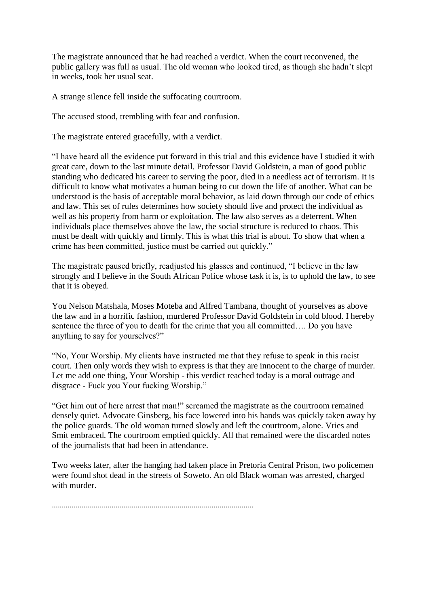The magistrate announced that he had reached a verdict. When the court reconvened, the public gallery was full as usual. The old woman who looked tired, as though she hadn"t slept in weeks, took her usual seat.

A strange silence fell inside the suffocating courtroom.

The accused stood, trembling with fear and confusion.

The magistrate entered gracefully, with a verdict.

"I have heard all the evidence put forward in this trial and this evidence have I studied it with great care, down to the last minute detail. Professor David Goldstein, a man of good public standing who dedicated his career to serving the poor, died in a needless act of terrorism. It is difficult to know what motivates a human being to cut down the life of another. What can be understood is the basis of acceptable moral behavior, as laid down through our code of ethics and law. This set of rules determines how society should live and protect the individual as well as his property from harm or exploitation. The law also serves as a deterrent. When individuals place themselves above the law, the social structure is reduced to chaos. This must be dealt with quickly and firmly. This is what this trial is about. To show that when a crime has been committed, justice must be carried out quickly."

The magistrate paused briefly, readjusted his glasses and continued, "I believe in the law strongly and I believe in the South African Police whose task it is, is to uphold the law, to see that it is obeyed.

You Nelson Matshala, Moses Moteba and Alfred Tambana, thought of yourselves as above the law and in a horrific fashion, murdered Professor David Goldstein in cold blood. I hereby sentence the three of you to death for the crime that you all committed…. Do you have anything to say for yourselves?"

"No, Your Worship. My clients have instructed me that they refuse to speak in this racist court. Then only words they wish to express is that they are innocent to the charge of murder. Let me add one thing, Your Worship - this verdict reached today is a moral outrage and disgrace - Fuck you Your fucking Worship."

"Get him out of here arrest that man!" screamed the magistrate as the courtroom remained densely quiet. Advocate Ginsberg, his face lowered into his hands was quickly taken away by the police guards. The old woman turned slowly and left the courtroom, alone. Vries and Smit embraced. The courtroom emptied quickly. All that remained were the discarded notes of the journalists that had been in attendance.

Two weeks later, after the hanging had taken place in Pretoria Central Prison, two policemen were found shot dead in the streets of Soweto. An old Black woman was arrested, charged with murder.

.....................................................................................................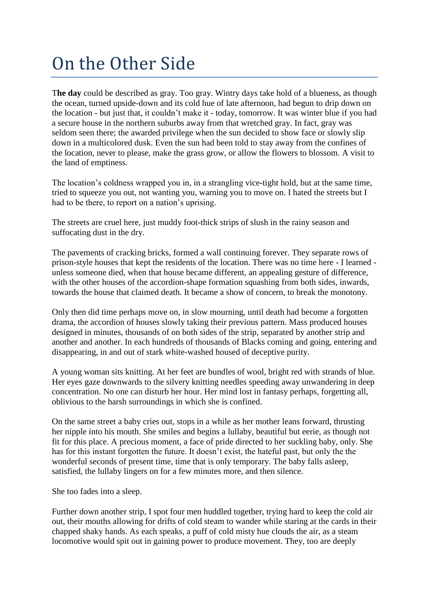# On the Other Side

T**he day** could be described as gray. Too gray. Wintry days take hold of a blueness, as though the ocean, turned upside-down and its cold hue of late afternoon, had begun to drip down on the location - but just that, it couldn"t make it - today, tomorrow. It was winter blue if you had a secure house in the northern suburbs away from that wretched gray. In fact, gray was seldom seen there; the awarded privilege when the sun decided to show face or slowly slip down in a multicolored dusk. Even the sun had been told to stay away from the confines of the location, never to please, make the grass grow, or allow the flowers to blossom. A visit to the land of emptiness.

The location"s coldness wrapped you in, in a strangling vice-tight hold, but at the same time, tried to squeeze you out, not wanting you, warning you to move on. I hated the streets but I had to be there, to report on a nation"s uprising.

The streets are cruel here, just muddy foot-thick strips of slush in the rainy season and suffocating dust in the dry.

The pavements of cracking bricks, formed a wall continuing forever. They separate rows of prison-style houses that kept the residents of the location. There was no time here - I learned unless someone died, when that house became different, an appealing gesture of difference, with the other houses of the accordion-shape formation squashing from both sides, inwards, towards the house that claimed death. It became a show of concern, to break the monotony.

Only then did time perhaps move on, in slow mourning, until death had become a forgotten drama, the accordion of houses slowly taking their previous pattern. Mass produced houses designed in minutes, thousands of on both sides of the strip, separated by another strip and another and another. In each hundreds of thousands of Blacks coming and going, entering and disappearing, in and out of stark white-washed housed of deceptive purity.

A young woman sits knitting. At her feet are bundles of wool, bright red with strands of blue. Her eyes gaze downwards to the silvery knitting needles speeding away unwandering in deep concentration. No one can disturb her hour. Her mind lost in fantasy perhaps, forgetting all, oblivious to the harsh surroundings in which she is confined.

On the same street a baby cries out, stops in a while as her mother leans forward, thrusting her nipple into his mouth. She smiles and begins a lullaby, beautiful but eerie, as though not fit for this place. A precious moment, a face of pride directed to her suckling baby, only. She has for this instant forgotten the future. It doesn't exist, the hateful past, but only the the wonderful seconds of present time, time that is only temporary. The baby falls asleep, satisfied, the lullaby lingers on for a few minutes more, and then silence.

She too fades into a sleep.

Further down another strip, I spot four men huddled together, trying hard to keep the cold air out, their mouths allowing for drifts of cold steam to wander while staring at the cards in their chapped shaky hands. As each speaks, a puff of cold misty hue clouds the air, as a steam locomotive would spit out in gaining power to produce movement. They, too are deeply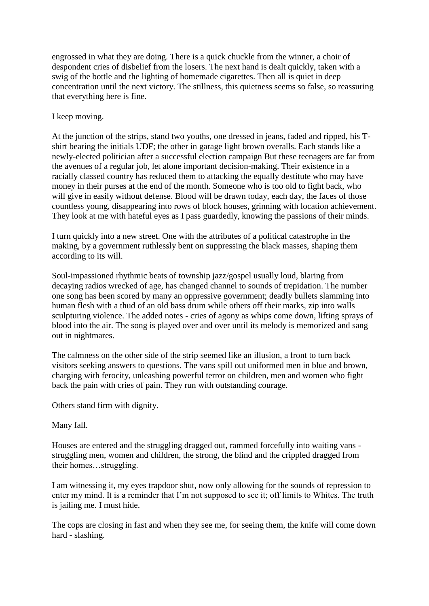engrossed in what they are doing. There is a quick chuckle from the winner, a choir of despondent cries of disbelief from the losers. The next hand is dealt quickly, taken with a swig of the bottle and the lighting of homemade cigarettes. Then all is quiet in deep concentration until the next victory. The stillness, this quietness seems so false, so reassuring that everything here is fine.

I keep moving.

At the junction of the strips, stand two youths, one dressed in jeans, faded and ripped, his Tshirt bearing the initials UDF; the other in garage light brown overalls. Each stands like a newly-elected politician after a successful election campaign But these teenagers are far from the avenues of a regular job, let alone important decision-making. Their existence in a racially classed country has reduced them to attacking the equally destitute who may have money in their purses at the end of the month. Someone who is too old to fight back, who will give in easily without defense. Blood will be drawn today, each day, the faces of those countless young, disappearing into rows of block houses, grinning with location achievement. They look at me with hateful eyes as I pass guardedly, knowing the passions of their minds.

I turn quickly into a new street. One with the attributes of a political catastrophe in the making, by a government ruthlessly bent on suppressing the black masses, shaping them according to its will.

Soul-impassioned rhythmic beats of township jazz/gospel usually loud, blaring from decaying radios wrecked of age, has changed channel to sounds of trepidation. The number one song has been scored by many an oppressive government; deadly bullets slamming into human flesh with a thud of an old bass drum while others off their marks, zip into walls sculpturing violence. The added notes - cries of agony as whips come down, lifting sprays of blood into the air. The song is played over and over until its melody is memorized and sang out in nightmares.

The calmness on the other side of the strip seemed like an illusion, a front to turn back visitors seeking answers to questions. The vans spill out uniformed men in blue and brown, charging with ferocity, unleashing powerful terror on children, men and women who fight back the pain with cries of pain. They run with outstanding courage.

Others stand firm with dignity.

Many fall.

Houses are entered and the struggling dragged out, rammed forcefully into waiting vans struggling men, women and children, the strong, the blind and the crippled dragged from their homes…struggling.

I am witnessing it, my eyes trapdoor shut, now only allowing for the sounds of repression to enter my mind. It is a reminder that I'm not supposed to see it; off limits to Whites. The truth is jailing me. I must hide.

The cops are closing in fast and when they see me, for seeing them, the knife will come down hard - slashing.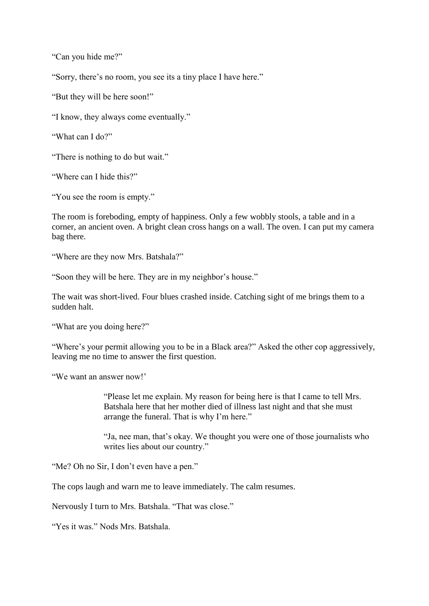"Can you hide me?"

"Sorry, there's no room, you see its a tiny place I have here."

"But they will be here soon!"

"I know, they always come eventually."

"What can I do?"

"There is nothing to do but wait."

"Where can I hide this?"

"You see the room is empty."

The room is foreboding, empty of happiness. Only a few wobbly stools, a table and in a corner, an ancient oven. A bright clean cross hangs on a wall. The oven. I can put my camera bag there.

"Where are they now Mrs. Batshala?"

"Soon they will be here. They are in my neighbor's house."

The wait was short-lived. Four blues crashed inside. Catching sight of me brings them to a sudden halt.

"What are you doing here?"

"Where's your permit allowing you to be in a Black area?" Asked the other cop aggressively, leaving me no time to answer the first question.

"We want an answer now!"

"Please let me explain. My reason for being here is that I came to tell Mrs. Batshala here that her mother died of illness last night and that she must arrange the funeral. That is why I'm here."

"Ja, nee man, that"s okay. We thought you were one of those journalists who writes lies about our country."

"Me? Oh no Sir, I don't even have a pen."

The cops laugh and warn me to leave immediately. The calm resumes.

Nervously I turn to Mrs. Batshala. "That was close."

"Yes it was." Nods Mrs. Batshala.